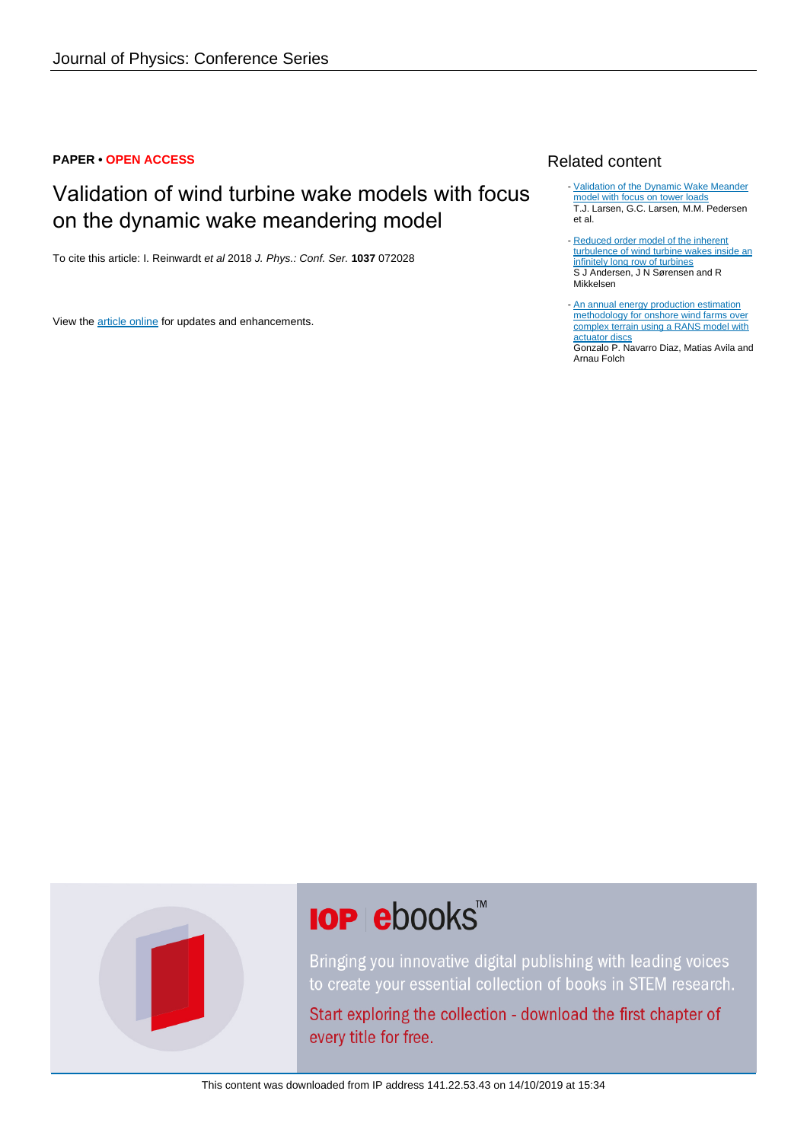#### **PAPER • OPEN ACCESS**

## Validation of wind turbine wake models with focus on the dynamic wake meandering model

To cite this article: I. Reinwardt et al 2018 J. Phys.: Conf. Ser. **1037** 072028

View the [article online](https://doi.org/10.1088/1742-6596/1037/7/072028) for updates and enhancements.

### Related content

- [Validation of the Dynamic Wake Meander](http://iopscience.iop.org/article/10.1088/1742-6596/854/1/012027) [model with focus on tower loads](http://iopscience.iop.org/article/10.1088/1742-6596/854/1/012027) T.J. Larsen, G.C. Larsen, M.M. Pedersen et al.
- [Reduced order model of the inherent](http://iopscience.iop.org/article/10.1088/1742-6596/555/1/012005) [turbulence of wind turbine wakes inside an](http://iopscience.iop.org/article/10.1088/1742-6596/555/1/012005) [infinitely long row of turbines](http://iopscience.iop.org/article/10.1088/1742-6596/555/1/012005) S J Andersen, J N Sørensen and R Mikkelsen
- [An annual energy production estimation](http://iopscience.iop.org/article/10.1088/1742-6596/1037/7/072018) [methodology for onshore wind farms over](http://iopscience.iop.org/article/10.1088/1742-6596/1037/7/072018) [complex terrain using a RANS model with](http://iopscience.iop.org/article/10.1088/1742-6596/1037/7/072018) [actuator discs](http://iopscience.iop.org/article/10.1088/1742-6596/1037/7/072018)

Gonzalo P. Navarro Diaz, Matias Avila and Arnau Folch

# **IOP ebooks**™

Bringing you innovative digital publishing with leading voices to create your essential collection of books in STEM research.

Start exploring the collection - download the first chapter of every title for free.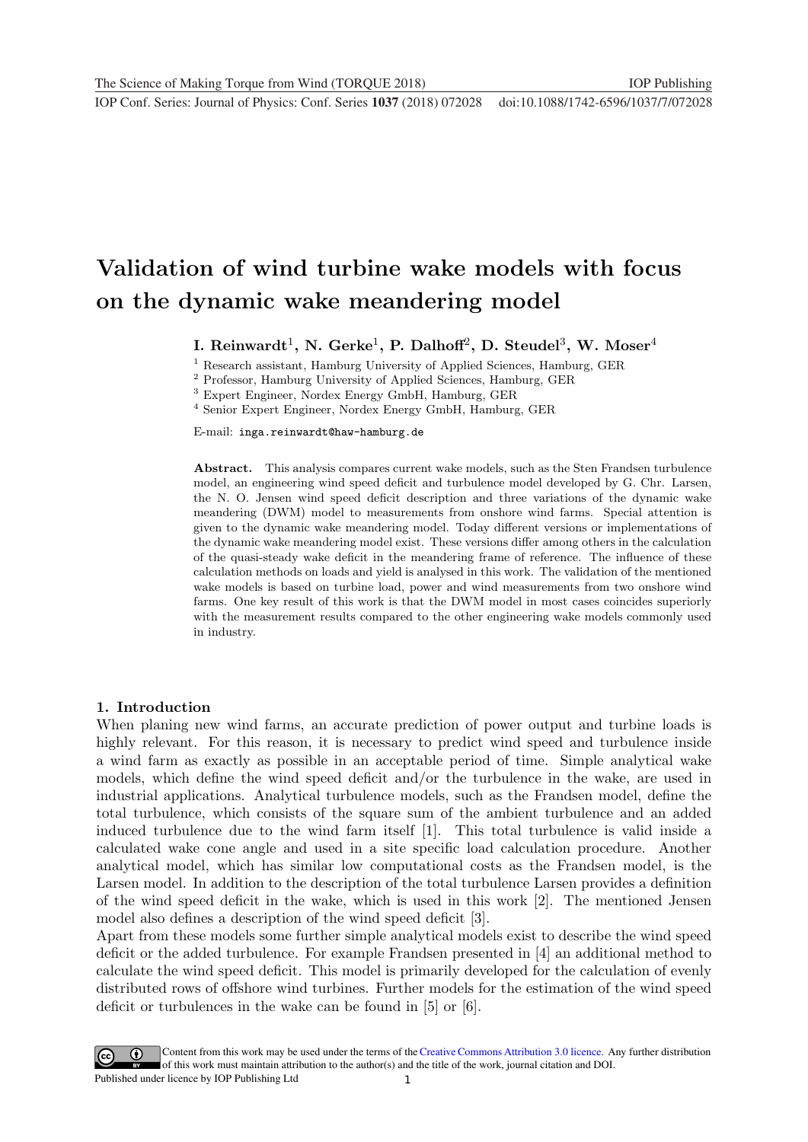# Validation of wind turbine wake models with focus on the dynamic wake meandering model

I. Reinwardt<sup>1</sup>, N. Gerke<sup>1</sup>, P. Dalhoff<sup>2</sup>, D. Steudel<sup>3</sup>, W. Moser<sup>4</sup>

<sup>1</sup> Research assistant, Hamburg University of Applied Sciences, Hamburg, GER

<sup>2</sup> Professor, Hamburg University of Applied Sciences, Hamburg, GER

<sup>3</sup> Expert Engineer, Nordex Energy GmbH, Hamburg, GER

<sup>4</sup> Senior Expert Engineer, Nordex Energy GmbH, Hamburg, GER

E-mail: inga.reinwardt@haw-hamburg.de

Abstract. This analysis compares current wake models, such as the Sten Frandsen turbulence model, an engineering wind speed deficit and turbulence model developed by G. Chr. Larsen, the N. O. Jensen wind speed deficit description and three variations of the dynamic wake meandering (DWM) model to measurements from onshore wind farms. Special attention is given to the dynamic wake meandering model. Today different versions or implementations of the dynamic wake meandering model exist. These versions differ among others in the calculation of the quasi-steady wake deficit in the meandering frame of reference. The influence of these calculation methods on loads and yield is analysed in this work. The validation of the mentioned wake models is based on turbine load, power and wind measurements from two onshore wind farms. One key result of this work is that the DWM model in most cases coincides superiorly with the measurement results compared to the other engineering wake models commonly used in industry.

#### 1. Introduction

When planing new wind farms, an accurate prediction of power output and turbine loads is highly relevant. For this reason, it is necessary to predict wind speed and turbulence inside a wind farm as exactly as possible in an acceptable period of time. Simple analytical wake models, which define the wind speed deficit and/or the turbulence in the wake, are used in industrial applications. Analytical turbulence models, such as the Frandsen model, define the total turbulence, which consists of the square sum of the ambient turbulence and an added induced turbulence due to the wind farm itself [1]. This total turbulence is valid inside a calculated wake cone angle and used in a site specific load calculation procedure. Another analytical model, which has similar low computational costs as the Frandsen model, is the Larsen model. In addition to the description of the total turbulence Larsen provides a definition of the wind speed deficit in the wake, which is used in this work [2]. The mentioned Jensen model also defines a description of the wind speed deficit [3].

Apart from these models some further simple analytical models exist to describe the wind speed deficit or the added turbulence. For example Frandsen presented in [4] an additional method to calculate the wind speed deficit. This model is primarily developed for the calculation of evenly distributed rows of offshore wind turbines. Further models for the estimation of the wind speed deficit or turbulences in the wake can be found in [5] or [6].

1 Content from this work may be used under the terms of the[Creative Commons Attribution 3.0 licence.](http://creativecommons.org/licenses/by/3.0) Any further distribution of this work must maintain attribution to the author(s) and the title of the work, journal citation and DOI. Published under licence by IOP Publishing Ltd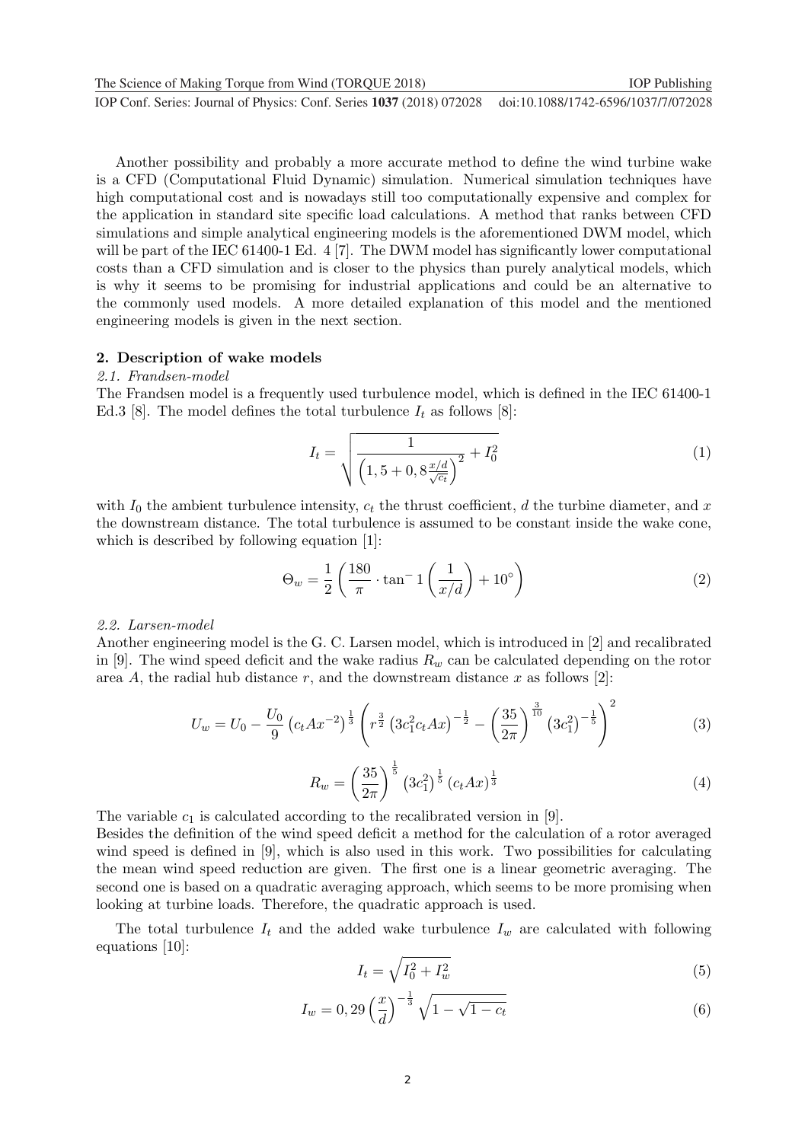The Science of Making Torque from Wind (TORQUE 2018) **IOP Publishing** IOP Publishing

**1234567890** ''"" IOP Conf. Series: Journal of Physics: Conf. Series **1037** (2018) 072028 doi :10.1088/1742-6596/1037/7/072028

Another possibility and probably a more accurate method to define the wind turbine wake is a CFD (Computational Fluid Dynamic) simulation. Numerical simulation techniques have high computational cost and is nowadays still too computationally expensive and complex for the application in standard site specific load calculations. A method that ranks between CFD simulations and simple analytical engineering models is the aforementioned DWM model, which will be part of the IEC 61400-1 Ed. 4 [7]. The DWM model has significantly lower computational costs than a CFD simulation and is closer to the physics than purely analytical models, which is why it seems to be promising for industrial applications and could be an alternative to the commonly used models. A more detailed explanation of this model and the mentioned engineering models is given in the next section.

#### 2. Description of wake models

#### 2.1. Frandsen-model

The Frandsen model is a frequently used turbulence model, which is defined in the IEC 61400-1 Ed.3 [8]. The model defines the total turbulence  $I_t$  as follows [8]:

$$
I_t = \sqrt{\frac{1}{\left(1, 5 + 0, 8\frac{x/d}{\sqrt{c_t}}\right)^2} + I_0^2}
$$
\n(1)

with  $I_0$  the ambient turbulence intensity,  $c_t$  the thrust coefficient, d the turbine diameter, and x the downstream distance. The total turbulence is assumed to be constant inside the wake cone, which is described by following equation [1]:

$$
\Theta_w = \frac{1}{2} \left( \frac{180}{\pi} \cdot \tan^{-1} \left( \frac{1}{x/d} \right) + 10^{\circ} \right) \tag{2}
$$

#### 2.2. Larsen-model

Another engineering model is the G. C. Larsen model, which is introduced in [2] and recalibrated in [9]. The wind speed deficit and the wake radius  $R_w$  can be calculated depending on the rotor area A, the radial hub distance r, and the downstream distance x as follows [2]:

$$
U_w = U_0 - \frac{U_0}{9} \left( c_t A x^{-2} \right)^{\frac{1}{3}} \left( r^{\frac{3}{2}} \left( 3c_1^2 c_t A x \right)^{-\frac{1}{2}} - \left( \frac{35}{2\pi} \right)^{\frac{3}{10}} \left( 3c_1^2 \right)^{-\frac{1}{5}} \right)^2 \tag{3}
$$

$$
R_w = \left(\frac{35}{2\pi}\right)^{\frac{1}{5}} \left(3c_1^2\right)^{\frac{1}{5}} \left(c_t A x\right)^{\frac{1}{3}}
$$
\n<sup>(4)</sup>

The variable  $c_1$  is calculated according to the recalibrated version in [9].

Besides the definition of the wind speed deficit a method for the calculation of a rotor averaged wind speed is defined in [9], which is also used in this work. Two possibilities for calculating the mean wind speed reduction are given. The first one is a linear geometric averaging. The second one is based on a quadratic averaging approach, which seems to be more promising when looking at turbine loads. Therefore, the quadratic approach is used.

The total turbulence  $I_t$  and the added wake turbulence  $I_w$  are calculated with following equations [10]:

$$
I_t = \sqrt{I_0^2 + I_w^2} \tag{5}
$$

$$
I_w = 0,29\left(\frac{x}{d}\right)^{-\frac{1}{3}}\sqrt{1-\sqrt{1-c_t}}
$$
\n(6)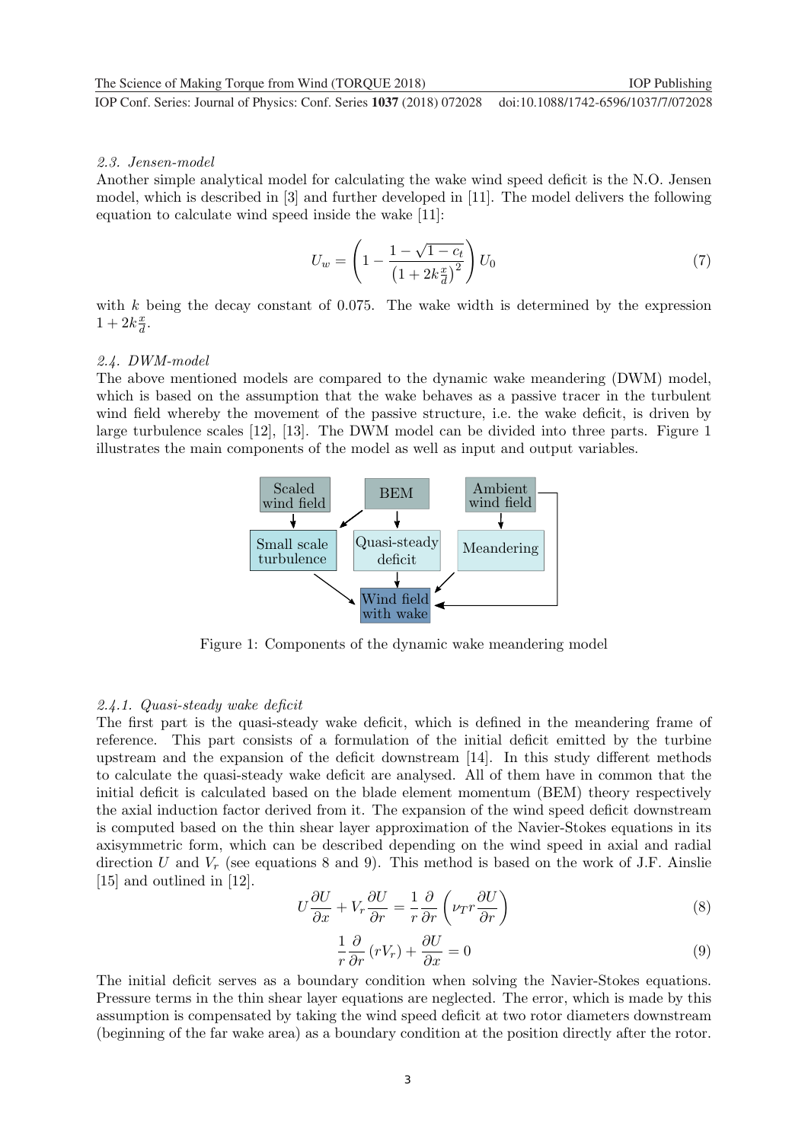#### 2.3. Jensen-model

Another simple analytical model for calculating the wake wind speed deficit is the N.O. Jensen model, which is described in [3] and further developed in [11]. The model delivers the following equation to calculate wind speed inside the wake [11]:

$$
U_w = \left(1 - \frac{1 - \sqrt{1 - c_t}}{\left(1 + 2k\frac{x}{d}\right)^2}\right)U_0\tag{7}
$$

with  $k$  being the decay constant of 0.075. The wake width is determined by the expression  $1+2k\frac{x}{d}$  $\frac{x}{d}$ .

#### 2.4. DWM-model

The above mentioned models are compared to the dynamic wake meandering (DWM) model, which is based on the assumption that the wake behaves as a passive tracer in the turbulent wind field whereby the movement of the passive structure, i.e. the wake deficit, is driven by large turbulence scales [12], [13]. The DWM model can be divided into three parts. Figure 1 illustrates the main components of the model as well as input and output variables.



Figure 1: Components of the dynamic wake meandering model

#### 2.4.1. Quasi-steady wake deficit

The first part is the quasi-steady wake deficit, which is defined in the meandering frame of reference. This part consists of a formulation of the initial deficit emitted by the turbine upstream and the expansion of the deficit downstream [14]. In this study different methods to calculate the quasi-steady wake deficit are analysed. All of them have in common that the initial deficit is calculated based on the blade element momentum (BEM) theory respectively the axial induction factor derived from it. The expansion of the wind speed deficit downstream is computed based on the thin shear layer approximation of the Navier-Stokes equations in its axisymmetric form, which can be described depending on the wind speed in axial and radial direction  $U$  and  $V_r$  (see equations 8 and 9). This method is based on the work of J.F. Ainslie [15] and outlined in [12].

$$
U\frac{\partial U}{\partial x} + V_r \frac{\partial U}{\partial r} = \frac{1}{r} \frac{\partial}{\partial r} \left( \nu_T r \frac{\partial U}{\partial r} \right)
$$
(8)

$$
\frac{1}{r}\frac{\partial}{\partial r}\left(rV_r\right) + \frac{\partial U}{\partial x} = 0\tag{9}
$$

The initial deficit serves as a boundary condition when solving the Navier-Stokes equations. Pressure terms in the thin shear layer equations are neglected. The error, which is made by this assumption is compensated by taking the wind speed deficit at two rotor diameters downstream (beginning of the far wake area) as a boundary condition at the position directly after the rotor.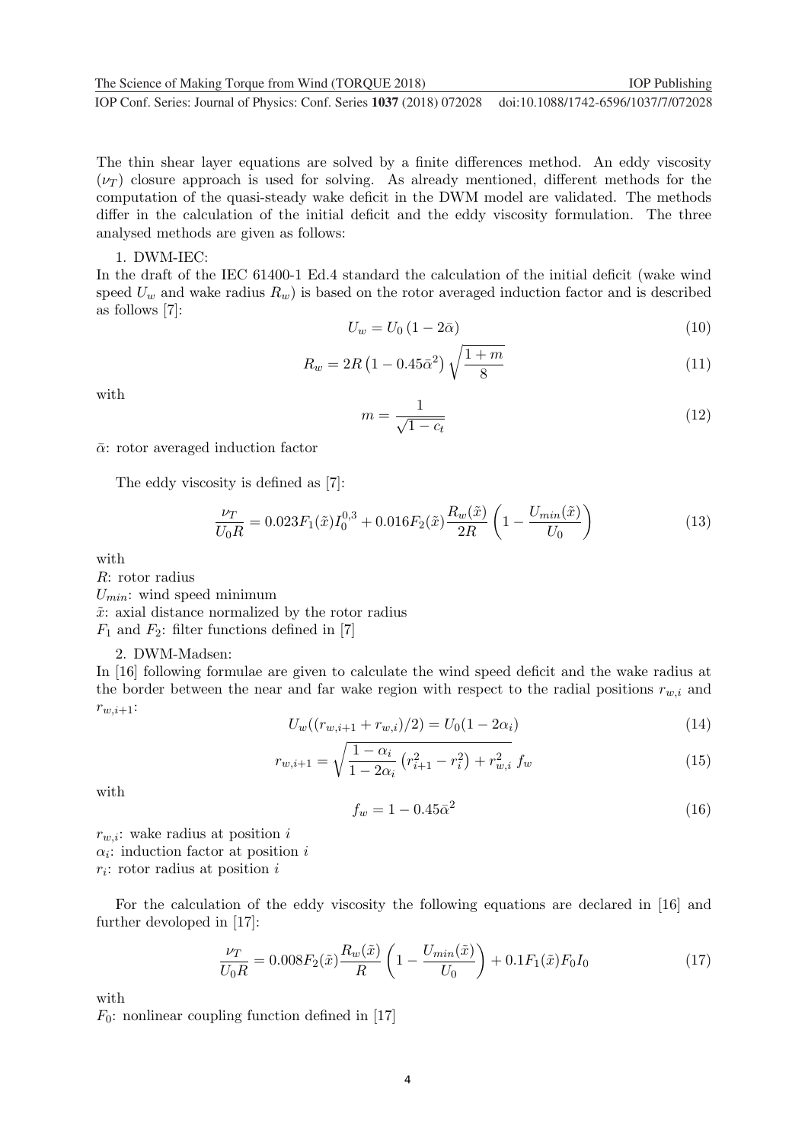The thin shear layer equations are solved by a finite differences method. An eddy viscosity  $(\nu_T)$  closure approach is used for solving. As already mentioned, different methods for the computation of the quasi-steady wake deficit in the DWM model are validated. The methods differ in the calculation of the initial deficit and the eddy viscosity formulation. The three analysed methods are given as follows:

#### 1. DWM-IEC:

In the draft of the IEC 61400-1 Ed.4 standard the calculation of the initial deficit (wake wind speed  $U_w$  and wake radius  $R_w$ ) is based on the rotor averaged induction factor and is described as follows [7]:

$$
U_w = U_0 \left( 1 - 2\bar{\alpha} \right) \tag{10}
$$

$$
R_w = 2R\left(1 - 0.45\bar{\alpha}^2\right)\sqrt{\frac{1+m}{8}}\tag{11}
$$

with

$$
m = \frac{1}{\sqrt{1 - c_t}}\tag{12}
$$

 $\bar{\alpha}$ : rotor averaged induction factor

The eddy viscosity is defined as [7]:

$$
\frac{\nu_T}{U_0 R} = 0.023 F_1(\tilde{x}) I_0^{0,3} + 0.016 F_2(\tilde{x}) \frac{R_w(\tilde{x})}{2R} \left( 1 - \frac{U_{min}(\tilde{x})}{U_0} \right)
$$
(13)

with

R: rotor radius

 $U_{min}$ : wind speed minimum

 $\tilde{x}$ : axial distance normalized by the rotor radius

 $F_1$  and  $F_2$ : filter functions defined in [7]

#### 2. DWM-Madsen:

In [16] following formulae are given to calculate the wind speed deficit and the wake radius at the border between the near and far wake region with respect to the radial positions  $r_{w,i}$  and  $r_{w,i+1}$ :

$$
U_w((r_{w,i+1} + r_{w,i})/2) = U_0(1 - 2\alpha_i)
$$
\n(14)

$$
r_{w,i+1} = \sqrt{\frac{1 - \alpha_i}{1 - 2\alpha_i} \left( r_{i+1}^2 - r_i^2 \right) + r_{w,i}^2} \, f_w \tag{15}
$$

with

$$
f_w = 1 - 0.45\bar{\alpha}^2\tag{16}
$$

 $r_{w,i}$ : wake radius at position i  $\alpha_i$ : induction factor at position *i*  $r_i$ : rotor radius at position i

For the calculation of the eddy viscosity the following equations are declared in [16] and further devoloped in [17]:

$$
\frac{\nu_T}{U_0 R} = 0.008 F_2(\tilde{x}) \frac{R_w(\tilde{x})}{R} \left( 1 - \frac{U_{min}(\tilde{x})}{U_0} \right) + 0.1 F_1(\tilde{x}) F_0 I_0 \tag{17}
$$

with

 $F_0$ : nonlinear coupling function defined in [17]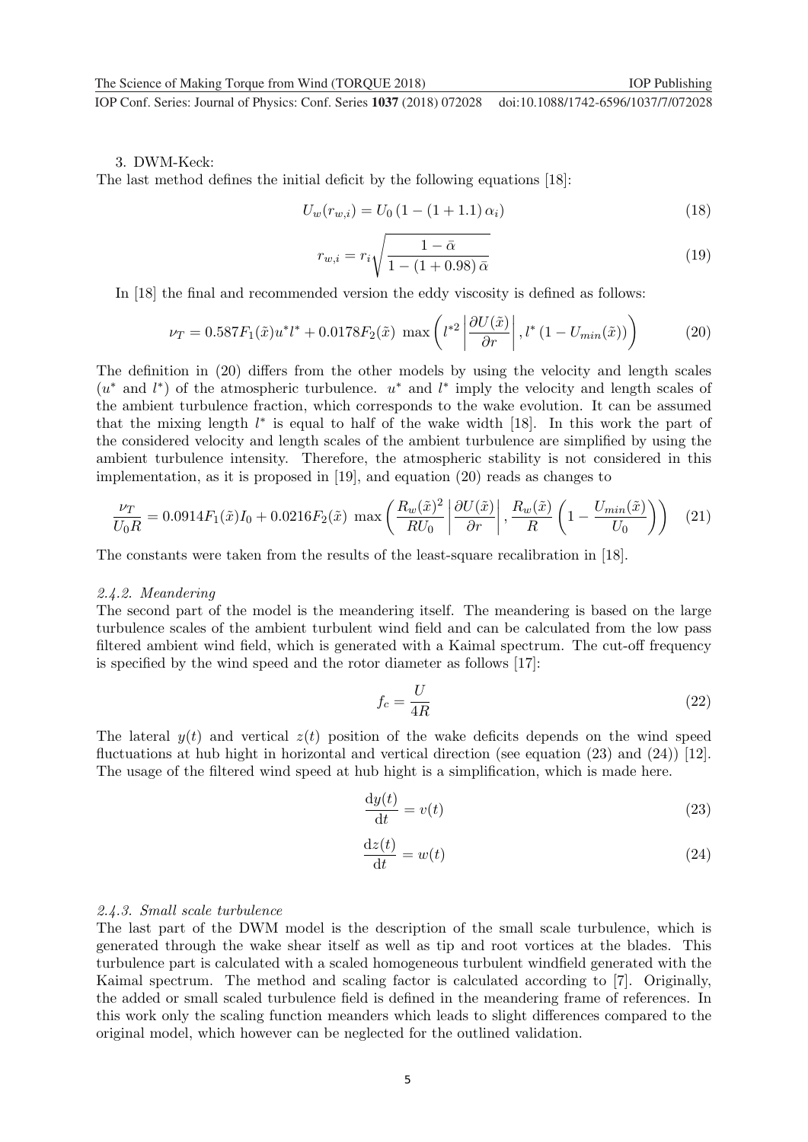#### 3. DWM-Keck:

The last method defines the initial deficit by the following equations [18]:

$$
U_w(r_{w,i}) = U_0 \left(1 - (1 + 1.1)\,\alpha_i\right) \tag{18}
$$

$$
r_{w,i} = r_i \sqrt{\frac{1 - \bar{\alpha}}{1 - (1 + 0.98)\,\bar{\alpha}}}
$$
\n<sup>(19)</sup>

In [18] the final and recommended version the eddy viscosity is defined as follows:

$$
\nu_T = 0.587 F_1(\tilde{x}) u^* l^* + 0.0178 F_2(\tilde{x}) \, \max\left(l^{*2} \left| \frac{\partial U(\tilde{x})}{\partial r} \right|, l^* \left(1 - U_{min}(\tilde{x})\right) \right) \tag{20}
$$

The definition in (20) differs from the other models by using the velocity and length scales  $(u^*$  and  $l^*)$  of the atmospheric turbulence.  $u^*$  and  $l^*$  imply the velocity and length scales of the ambient turbulence fraction, which corresponds to the wake evolution. It can be assumed that the mixing length  $l^*$  is equal to half of the wake width [18]. In this work the part of the considered velocity and length scales of the ambient turbulence are simplified by using the ambient turbulence intensity. Therefore, the atmospheric stability is not considered in this implementation, as it is proposed in [19], and equation (20) reads as changes to

$$
\frac{\nu_T}{U_0 R} = 0.0914 F_1(\tilde{x}) I_0 + 0.0216 F_2(\tilde{x}) \max\left(\frac{R_w(\tilde{x})^2}{R U_0}\left|\frac{\partial U(\tilde{x})}{\partial r}\right|, \frac{R_w(\tilde{x})}{R}\left(1 - \frac{U_{min}(\tilde{x})}{U_0}\right)\right) \tag{21}
$$

The constants were taken from the results of the least-square recalibration in [18].

#### 2.4.2. Meandering

The second part of the model is the meandering itself. The meandering is based on the large turbulence scales of the ambient turbulent wind field and can be calculated from the low pass filtered ambient wind field, which is generated with a Kaimal spectrum. The cut-off frequency is specified by the wind speed and the rotor diameter as follows [17]:

$$
f_c = \frac{U}{4R} \tag{22}
$$

The lateral  $y(t)$  and vertical  $z(t)$  position of the wake deficits depends on the wind speed fluctuations at hub hight in horizontal and vertical direction (see equation (23) and (24)) [12]. The usage of the filtered wind speed at hub hight is a simplification, which is made here.

$$
\frac{\mathrm{d}y(t)}{\mathrm{d}t} = v(t) \tag{23}
$$

$$
\frac{\mathrm{d}z(t)}{\mathrm{d}t} = w(t) \tag{24}
$$

#### 2.4.3. Small scale turbulence

The last part of the DWM model is the description of the small scale turbulence, which is generated through the wake shear itself as well as tip and root vortices at the blades. This turbulence part is calculated with a scaled homogeneous turbulent windfield generated with the Kaimal spectrum. The method and scaling factor is calculated according to [7]. Originally, the added or small scaled turbulence field is defined in the meandering frame of references. In this work only the scaling function meanders which leads to slight differences compared to the original model, which however can be neglected for the outlined validation.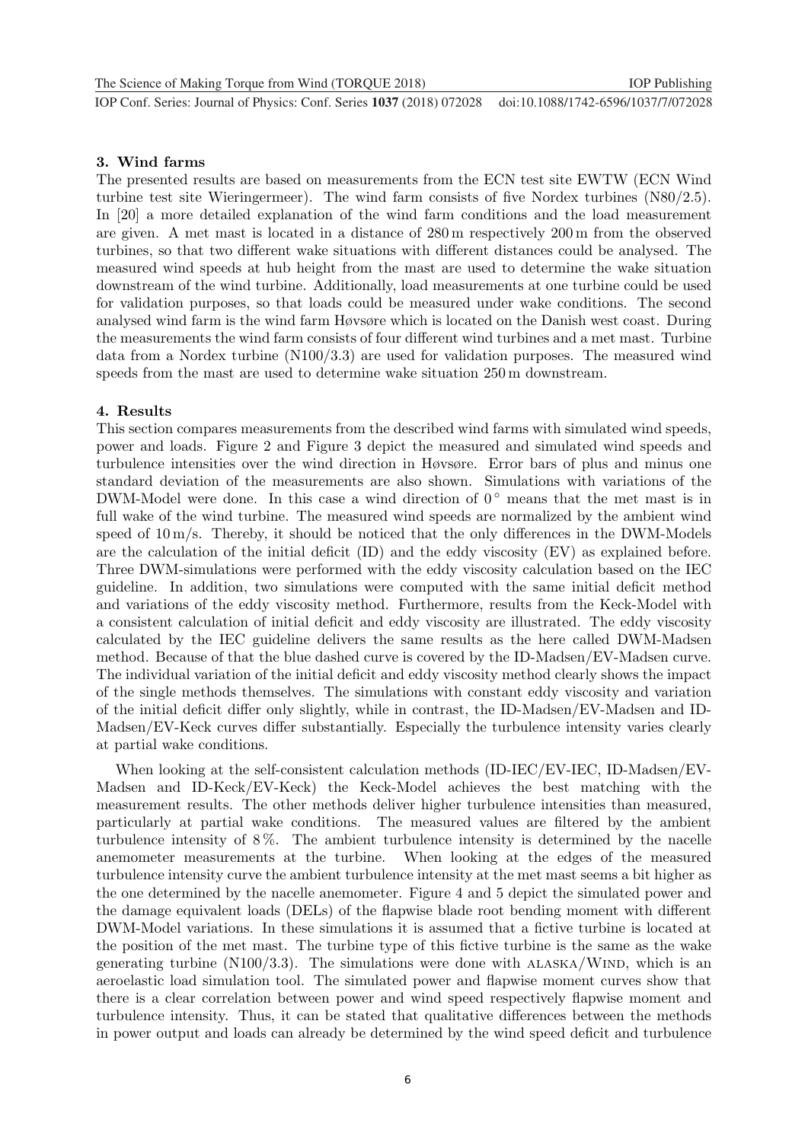#### 3. Wind farms

The presented results are based on measurements from the ECN test site EWTW (ECN Wind turbine test site Wieringermeer). The wind farm consists of five Nordex turbines (N80/2.5). In [20] a more detailed explanation of the wind farm conditions and the load measurement are given. A met mast is located in a distance of 280 m respectively 200 m from the observed turbines, so that two different wake situations with different distances could be analysed. The measured wind speeds at hub height from the mast are used to determine the wake situation downstream of the wind turbine. Additionally, load measurements at one turbine could be used for validation purposes, so that loads could be measured under wake conditions. The second analysed wind farm is the wind farm Høvsøre which is located on the Danish west coast. During the measurements the wind farm consists of four different wind turbines and a met mast. Turbine data from a Nordex turbine (N100/3.3) are used for validation purposes. The measured wind speeds from the mast are used to determine wake situation 250 m downstream.

#### 4. Results

This section compares measurements from the described wind farms with simulated wind speeds, power and loads. Figure 2 and Figure 3 depict the measured and simulated wind speeds and turbulence intensities over the wind direction in Høvsøre. Error bars of plus and minus one standard deviation of the measurements are also shown. Simulations with variations of the DWM-Model were done. In this case a wind direction of  $0^{\circ}$  means that the met mast is in full wake of the wind turbine. The measured wind speeds are normalized by the ambient wind speed of  $10 \,\mathrm{m/s}$ . Thereby, it should be noticed that the only differences in the DWM-Models are the calculation of the initial deficit (ID) and the eddy viscosity (EV) as explained before. Three DWM-simulations were performed with the eddy viscosity calculation based on the IEC guideline. In addition, two simulations were computed with the same initial deficit method and variations of the eddy viscosity method. Furthermore, results from the Keck-Model with a consistent calculation of initial deficit and eddy viscosity are illustrated. The eddy viscosity calculated by the IEC guideline delivers the same results as the here called DWM-Madsen method. Because of that the blue dashed curve is covered by the ID-Madsen/EV-Madsen curve. The individual variation of the initial deficit and eddy viscosity method clearly shows the impact of the single methods themselves. The simulations with constant eddy viscosity and variation of the initial deficit differ only slightly, while in contrast, the ID-Madsen/EV-Madsen and ID-Madsen/EV-Keck curves differ substantially. Especially the turbulence intensity varies clearly at partial wake conditions.

When looking at the self-consistent calculation methods (ID-IEC/EV-IEC, ID-Madsen/EV-Madsen and ID-Keck/EV-Keck) the Keck-Model achieves the best matching with the measurement results. The other methods deliver higher turbulence intensities than measured, particularly at partial wake conditions. The measured values are filtered by the ambient turbulence intensity of 8 %. The ambient turbulence intensity is determined by the nacelle anemometer measurements at the turbine. When looking at the edges of the measured turbulence intensity curve the ambient turbulence intensity at the met mast seems a bit higher as the one determined by the nacelle anemometer. Figure 4 and 5 depict the simulated power and the damage equivalent loads (DELs) of the flapwise blade root bending moment with different DWM-Model variations. In these simulations it is assumed that a fictive turbine is located at the position of the met mast. The turbine type of this fictive turbine is the same as the wake generating turbine  $(N100/3.3)$ . The simulations were done with  $ALASKA/WIND$ , which is an aeroelastic load simulation tool. The simulated power and flapwise moment curves show that there is a clear correlation between power and wind speed respectively flapwise moment and turbulence intensity. Thus, it can be stated that qualitative differences between the methods in power output and loads can already be determined by the wind speed deficit and turbulence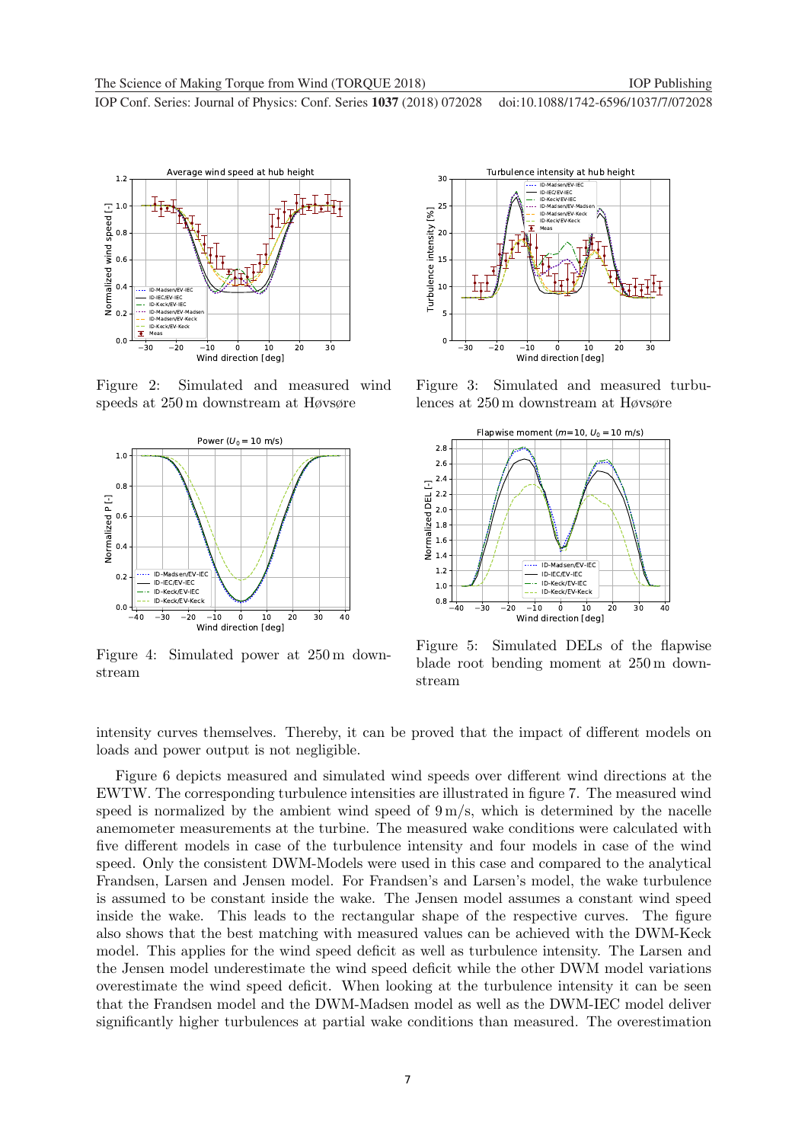

Figure 2: Simulated and measured wind speeds at 250 m downstream at Høvsøre



Figure 4: Simulated power at 250 m downstream



Figure 3: Simulated and measured turbulences at 250 m downstream at Høvsøre



Figure 5: Simulated DELs of the flapwise blade root bending moment at 250 m downstream

intensity curves themselves. Thereby, it can be proved that the impact of different models on loads and power output is not negligible.

Figure 6 depicts measured and simulated wind speeds over different wind directions at the EWTW. The corresponding turbulence intensities are illustrated in figure 7. The measured wind speed is normalized by the ambient wind speed of  $9 \text{ m/s}$ , which is determined by the nacelle anemometer measurements at the turbine. The measured wake conditions were calculated with five different models in case of the turbulence intensity and four models in case of the wind speed. Only the consistent DWM-Models were used in this case and compared to the analytical Frandsen, Larsen and Jensen model. For Frandsen's and Larsen's model, the wake turbulence is assumed to be constant inside the wake. The Jensen model assumes a constant wind speed inside the wake. This leads to the rectangular shape of the respective curves. The figure also shows that the best matching with measured values can be achieved with the DWM-Keck model. This applies for the wind speed deficit as well as turbulence intensity. The Larsen and the Jensen model underestimate the wind speed deficit while the other DWM model variations overestimate the wind speed deficit. When looking at the turbulence intensity it can be seen that the Frandsen model and the DWM-Madsen model as well as the DWM-IEC model deliver significantly higher turbulences at partial wake conditions than measured. The overestimation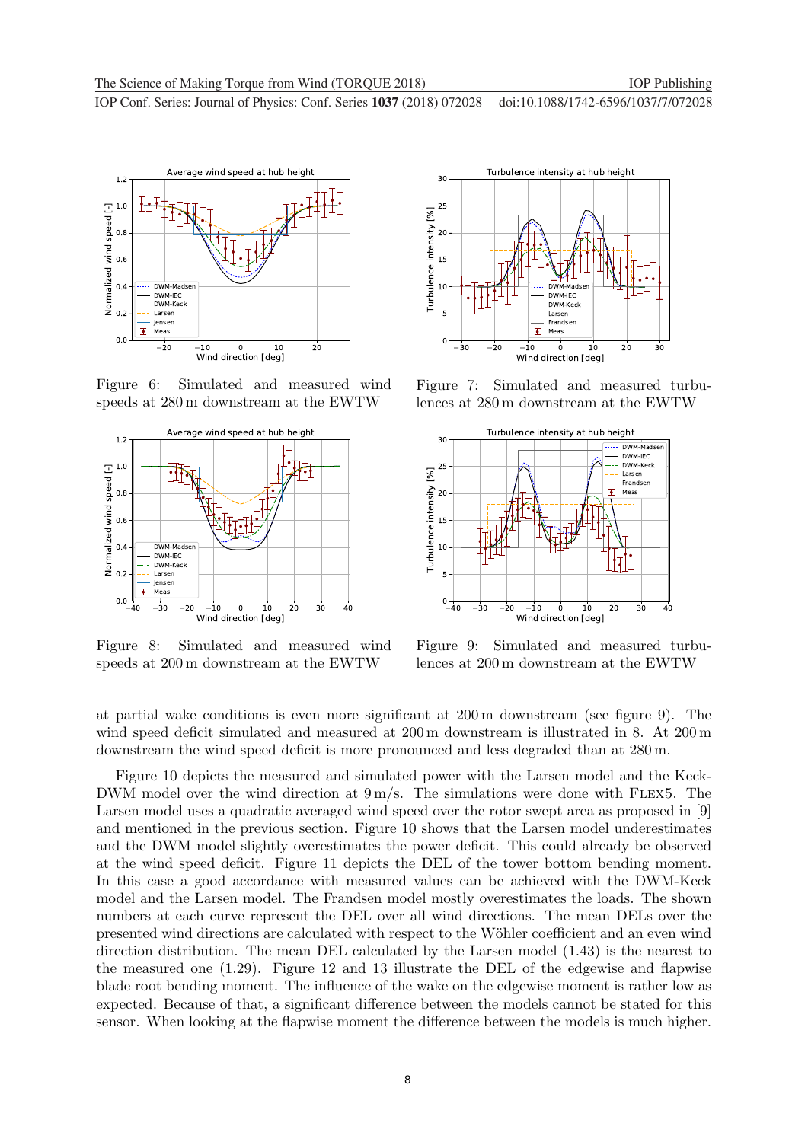

Figure 6: Simulated and measured wind speeds at 280 m downstream at the EWTW



Figure 8: Simulated and measured wind speeds at 200 m downstream at the EWTW



Figure 7: Simulated and measured turbulences at 280 m downstream at the EWTW



Figure 9: Simulated and measured turbulences at 200 m downstream at the EWTW

at partial wake conditions is even more significant at 200 m downstream (see figure 9). The wind speed deficit simulated and measured at 200 m downstream is illustrated in 8. At 200 m downstream the wind speed deficit is more pronounced and less degraded than at 280 m.

Figure 10 depicts the measured and simulated power with the Larsen model and the Keck-DWM model over the wind direction at  $9 \text{ m/s}$ . The simulations were done with FLEX5. The Larsen model uses a quadratic averaged wind speed over the rotor swept area as proposed in [9] and mentioned in the previous section. Figure 10 shows that the Larsen model underestimates and the DWM model slightly overestimates the power deficit. This could already be observed at the wind speed deficit. Figure 11 depicts the DEL of the tower bottom bending moment. In this case a good accordance with measured values can be achieved with the DWM-Keck model and the Larsen model. The Frandsen model mostly overestimates the loads. The shown numbers at each curve represent the DEL over all wind directions. The mean DELs over the presented wind directions are calculated with respect to the W¨ohler coefficient and an even wind direction distribution. The mean DEL calculated by the Larsen model (1.43) is the nearest to the measured one (1.29). Figure 12 and 13 illustrate the DEL of the edgewise and flapwise blade root bending moment. The influence of the wake on the edgewise moment is rather low as expected. Because of that, a significant difference between the models cannot be stated for this sensor. When looking at the flapwise moment the difference between the models is much higher.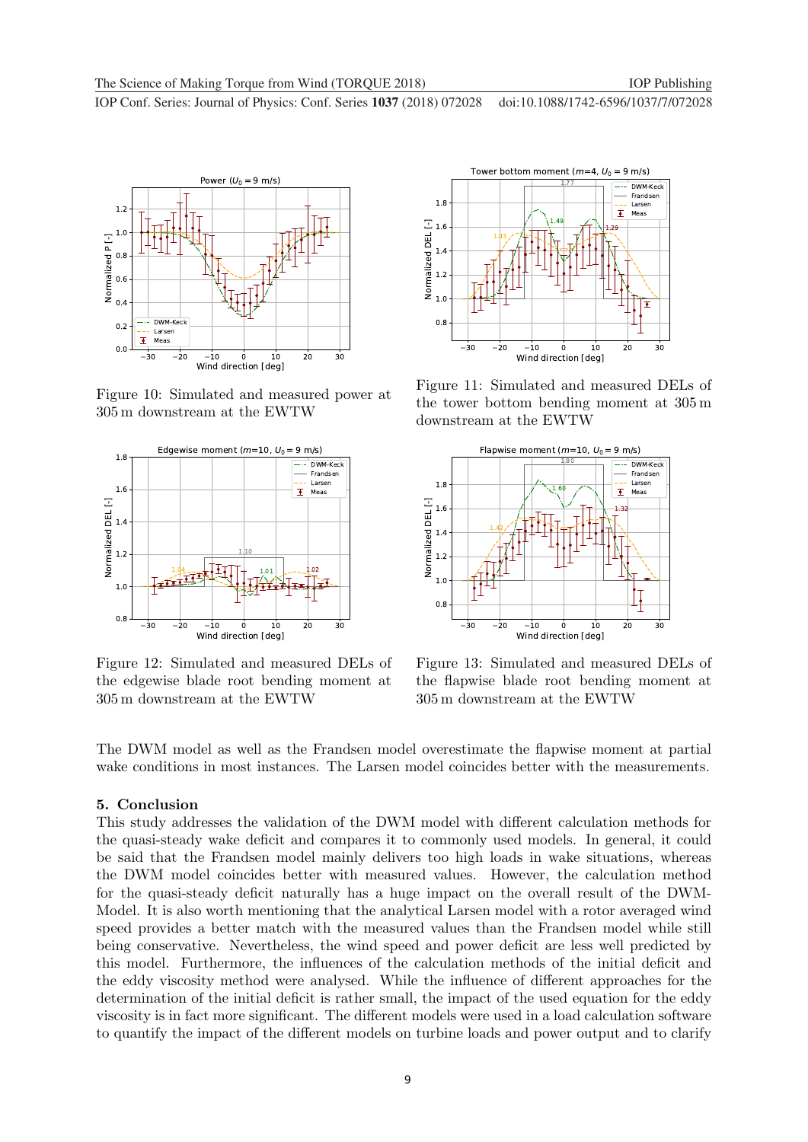

Figure 10: Simulated and measured power at 305 m downstream at the EWTW



Figure 12: Simulated and measured DELs of the edgewise blade root bending moment at 305 m downstream at the EWTW



Figure 11: Simulated and measured DELs of the tower bottom bending moment at 305 m downstream at the EWTW



Figure 13: Simulated and measured DELs of the flapwise blade root bending moment at 305 m downstream at the EWTW

The DWM model as well as the Frandsen model overestimate the flapwise moment at partial wake conditions in most instances. The Larsen model coincides better with the measurements.

#### 5. Conclusion

This study addresses the validation of the DWM model with different calculation methods for the quasi-steady wake deficit and compares it to commonly used models. In general, it could be said that the Frandsen model mainly delivers too high loads in wake situations, whereas the DWM model coincides better with measured values. However, the calculation method for the quasi-steady deficit naturally has a huge impact on the overall result of the DWM-Model. It is also worth mentioning that the analytical Larsen model with a rotor averaged wind speed provides a better match with the measured values than the Frandsen model while still being conservative. Nevertheless, the wind speed and power deficit are less well predicted by this model. Furthermore, the influences of the calculation methods of the initial deficit and the eddy viscosity method were analysed. While the influence of different approaches for the determination of the initial deficit is rather small, the impact of the used equation for the eddy viscosity is in fact more significant. The different models were used in a load calculation software to quantify the impact of the different models on turbine loads and power output and to clarify